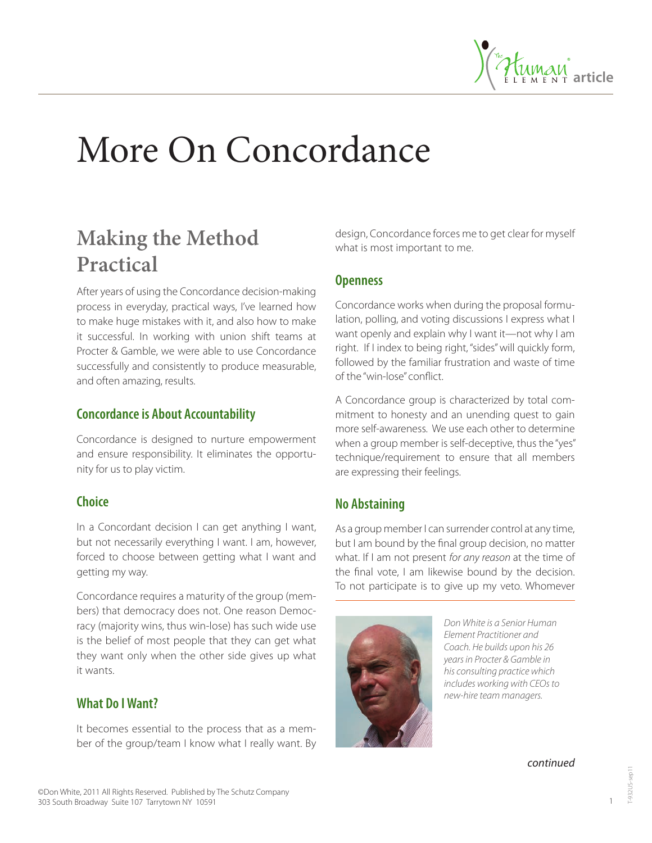

# More On Concordance

# **Making the Method Practical**

After years of using the Concordance decision-making process in everyday, practical ways, I've learned how to make huge mistakes with it, and also how to make it successful. In working with union shift teams at Procter & Gamble, we were able to use Concordance successfully and consistently to produce measurable, and often amazing, results.

#### **Concordance is About Accountability**

Concordance is designed to nurture empowerment and ensure responsibility. It eliminates the opportunity for us to play victim.

#### **Choice**

In a Concordant decision I can get anything I want, but not necessarily everything I want. I am, however, forced to choose between getting what I want and getting my way.

Concordance requires a maturity of the group (members) that democracy does not. One reason Democracy (majority wins, thus win-lose) has such wide use is the belief of most people that they can get what they want only when the other side gives up what it wants.

### **What Do I Want?**

It becomes essential to the process that as a member of the group/team I know what I really want. By design, Concordance forces me to get clear for myself what is most important to me.

#### **Openness**

Concordance works when during the proposal formulation, polling, and voting discussions I express what I want openly and explain why I want it—not why I am right. If I index to being right, "sides" will quickly form, followed by the familiar frustration and waste of time of the "win-lose" conflict.

A Concordance group is characterized by total commitment to honesty and an unending quest to gain more self-awareness. We use each other to determine when a group member is self-deceptive, thus the "yes" technique/requirement to ensure that all members are expressing their feelings.

# **No Abstaining**

As a group member I can surrender control at any time, but I am bound by the final group decision, no matter what. If I am not present *for any reason* at the time of the final vote, I am likewise bound by the decision. To not participate is to give up my veto. Whomever



*Don White is a Senior Human Element Practitioner and Coach. He builds upon his 26 years in Procter & Gamble in his consulting practice which includes working with CEOs to new-hire team managers.* 

*continued*